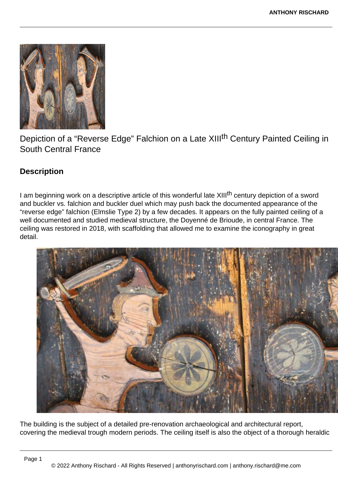

Depiction of a "Reverse Edge" Falchion on a Late XIII<sup>th</sup> Century Painted Ceiling in South Central France

## **Description**

I am beginning work on a descriptive article of this wonderful late XIII<sup>th</sup> century depiction of a sword and buckler vs. falchion and buckler duel which may push back the documented appearance of the "reverse edge" falchion (Elmslie Type 2) by a few decades. It appears on the fully painted ceiling of a well documented and studied medieval structure, the Doyenné de Brioude, in central France. The ceiling was restored in 2018, with scaffolding that allowed me to examine the iconography in great detail.



The building is the subject of a detailed pre-renovation archaeological and architectural report, covering the medieval trough modern periods. The ceiling itself is also the object of a thorough heraldic